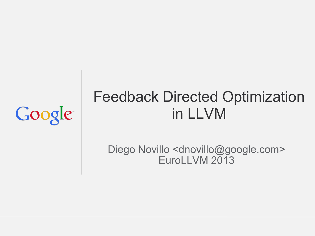# Google

## Feedback Directed Optimization in LLVM

Diego Novillo <dnovillo@google.com> EuroLLVM 2013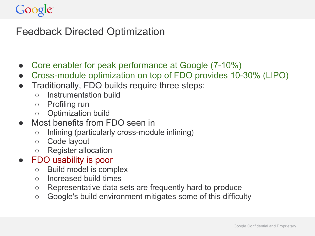### Feedback Directed Optimization

- Core enabler for peak performance at Google (7-10%)
- Cross-module optimization on top of FDO provides 10-30% (LIPO)
- Traditionally, FDO builds require three steps:
	- Instrumentation build
	- Profiling run
	- Optimization build
- Most benefits from FDO seen in
	- Inlining (particularly cross-module inlining)
	- Code layout
	- Register allocation
- FDO usability is poor
	- Build model is complex
	- Increased build times
	- Representative data sets are frequently hard to produce
	- Google's build environment mitigates some of this difficulty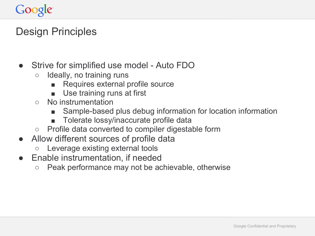## Google

### Design Principles

- Strive for simplified use model Auto FDO
	- Ideally, no training runs
		- Requires external profile source
		- Use training runs at first
	- No instrumentation
		- Sample-based plus debug information for location information
		- Tolerate lossy/inaccurate profile data
	- Profile data converted to compiler digestable form
- Allow different sources of profile data
	- Leverage existing external tools
- Enable instrumentation, if needed
	- Peak performance may not be achievable, otherwise